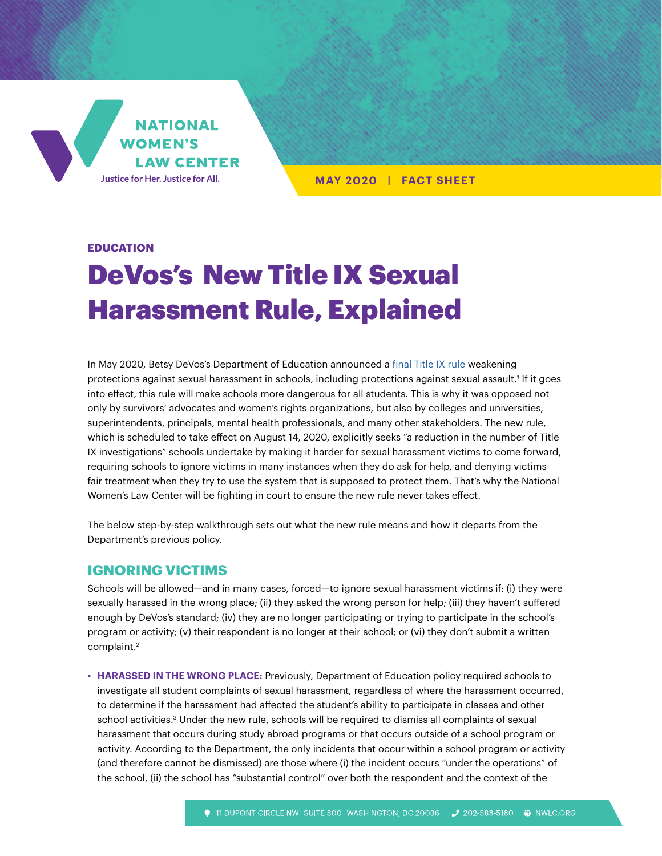

**MAY 2020 | FACT SHEET**

## **EDUCATION**

# DeVos's New Title IX Sexual Harassment Rule, Explained

In May 2020, Betsy DeVos's Department of Education announced a [final Title IX rule](https://www.federalregister.gov/d/2020-10512) weakening protections against sexual harassment in schools, including protections against sexual assault.<sup>1</sup> If it goes into effect, this rule will make schools more dangerous for all students. This is why it was opposed not only by survivors' advocates and women's rights organizations, but also by colleges and universities, superintendents, principals, mental health professionals, and many other stakeholders. The new rule, which is scheduled to take effect on August 14, 2020, explicitly seeks "a reduction in the number of Title IX investigations" schools undertake by making it harder for sexual harassment victims to come forward, requiring schools to ignore victims in many instances when they do ask for help, and denying victims fair treatment when they try to use the system that is supposed to protect them. That's why the National Women's Law Center will be fighting in court to ensure the new rule never takes effect.

The below step-by-step walkthrough sets out what the new rule means and how it departs from the Department's previous policy.

# **IGNORING VICTIMS**

Schools will be allowed—and in many cases, forced—to ignore sexual harassment victims if: (i) they were sexually harassed in the wrong place; (ii) they asked the wrong person for help; (iii) they haven't suffered enough by DeVos's standard; (iv) they are no longer participating or trying to participate in the school's program or activity; (v) their respondent is no longer at their school; or (vi) they don't submit a written complaint.2

**• HARASSED IN THE WRONG PLACE:** Previously, Department of Education policy required schools to investigate all student complaints of sexual harassment, regardless of where the harassment occurred, to determine if the harassment had affected the student's ability to participate in classes and other school activities.<sup>3</sup> Under the new rule, schools will be required to dismiss all complaints of sexual harassment that occurs during study abroad programs or that occurs outside of a school program or activity. According to the Department, the only incidents that occur within a school program or activity (and therefore cannot be dismissed) are those where (i) the incident occurs "under the operations" of the school, (ii) the school has "substantial control" over both the respondent and the context of the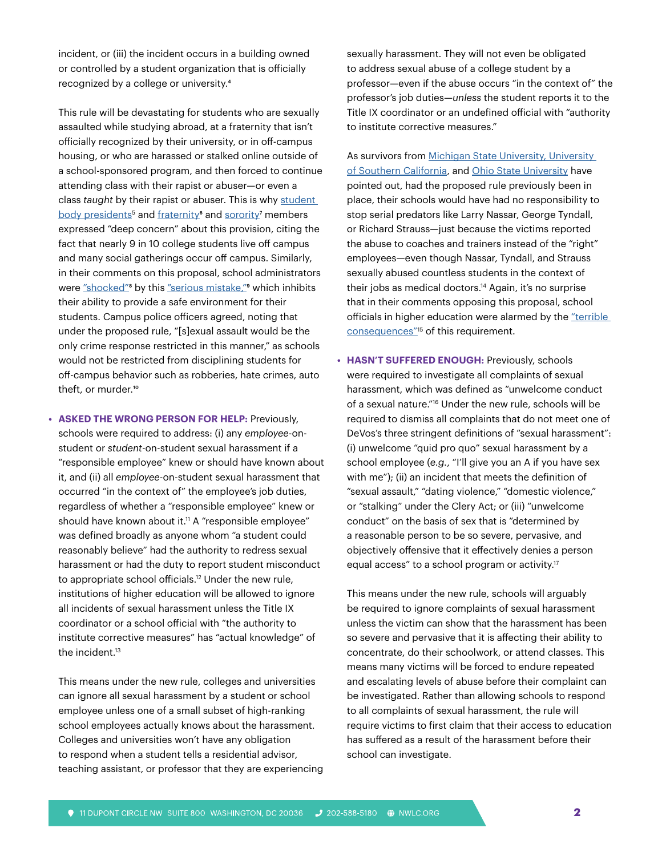incident, or (iii) the incident occurs in a building owned or controlled by a student organization that is officially recognized by a college or university.4

This rule will be devastating for students who are sexually assaulted while studying abroad, at a fraternity that isn't officially recognized by their university, or in off-campus housing, or who are harassed or stalked online outside of a school-sponsored program, and then forced to continue attending class with their rapist or abuser—or even a class *taught* by their rapist or abuser. This is why [student](https://assu.stanford.edu/sites/g/files/sbiybj6236/f/student_body_presidents_comment_on_title_ix_proposal_1.pdf)  [body presidents](https://assu.stanford.edu/sites/g/files/sbiybj6236/f/student_body_presidents_comment_on_title_ix_proposal_1.pdf)<sup>5</sup> and fraternity<sup>6</sup> and [sorority](https://www.regulations.gov/document?D=ED-2018-OCR-0064-11790)<sup>7</sup> members expressed "deep concern" about this provision, citing the fact that nearly 9 in 10 college students live off campus and many social gatherings occur off campus. Similarly, in their comments on this proposal, school administrators were ["shocked](https://aasa.org/uploadedFiles/AASA_Blog(1)/AASA Title IX Comments Final.pdf)"<sup>8</sup> by this ["serious mistake,](https://www.acenet.edu/Documents/Comments-to-Education-Department-on-Proposed-Rule-Amending-Title-IX-Regulations.pdf)"<sup>9</sup> which inhibits their ability to provide a safe environment for their students. Campus police officers agreed, noting that under the proposed rule, "[s]exual assault would be the only crime response restricted in this manner," as schools would not be restricted from disciplining students for off-campus behavior such as robberies, hate crimes, auto theft, or murder.<sup>10</sup>

**• ASKED THE WRONG PERSON FOR HELP:** Previously, schools were required to address: (i) any *employee*-onstudent or *student*-on-student sexual harassment if a "responsible employee" knew or should have known about it, and (ii) all *employee*-on-student sexual harassment that occurred "in the context of" the employee's job duties, regardless of whether a "responsible employee" knew or should have known about it.<sup>11</sup> A "responsible employee" was defined broadly as anyone whom "a student could reasonably believe" had the authority to redress sexual harassment or had the duty to report student misconduct to appropriate school officials.12 Under the new rule, institutions of higher education will be allowed to ignore all incidents of sexual harassment unless the Title IX coordinator or a school official with "the authority to institute corrective measures" has "actual knowledge" of the incident.<sup>13</sup>

This means under the new rule, colleges and universities can ignore all sexual harassment by a student or school employee unless one of a small subset of high-ranking school employees actually knows about the harassment. Colleges and universities won't have any obligation to respond when a student tells a residential advisor, teaching assistant, or professor that they are experiencing sexually harassment. They will not even be obligated to address sexual abuse of a college student by a professor—even if the abuse occurs "in the context of" the professor's job duties—*unless* the student reports it to the Title IX coordinator or an undefined official with "authority to institute corrective measures."

As survivors from Michigan State University, University [of Southern California,](https://www.publicjustice.net/wp-content/uploads/2018/11/November-1-Survivor-Letter-to-ED.pdf) and [Ohio State University](https://www.publicjustice.net/wp-content/uploads/2019/01/Comments-of-Ohio-State-Survivors-on-Title-IX-NPRM.pdf) have pointed out, had the proposed rule previously been in place, their schools would have had no responsibility to stop serial predators like Larry Nassar, George Tyndall, or Richard Strauss—just because the victims reported the abuse to coaches and trainers instead of the "right" employees—even though Nassar, Tyndall, and Strauss sexually abused countless students in the context of their jobs as medical doctors.<sup>14</sup> Again, it's no surprise that in their comments opposing this proposal, school officials in higher education were alarmed by the ["terrible](https://www.regulations.gov/document?D=ED-2018-OCR-0064-11689)  [consequences"](https://www.regulations.gov/document?D=ED-2018-OCR-0064-11689)<sup>15</sup> of this requirement.

**• HASN'T SUFFERED ENOUGH:** Previously, schools were required to investigate all complaints of sexual harassment, which was defined as "unwelcome conduct of a sexual nature."16 Under the new rule, schools will be required to dismiss all complaints that do not meet one of DeVos's three stringent definitions of "sexual harassment": (i) unwelcome "quid pro quo" sexual harassment by a school employee (*e.g.*, "I'll give you an A if you have sex with me"); (ii) an incident that meets the definition of "sexual assault," "dating violence," "domestic violence," or "stalking" under the Clery Act; or (iii) "unwelcome conduct" on the basis of sex that is "determined by a reasonable person to be so severe, pervasive, and objectively offensive that it effectively denies a person equal access" to a school program or activity.<sup>17</sup>

This means under the new rule, schools will arguably be required to ignore complaints of sexual harassment unless the victim can show that the harassment has been so severe and pervasive that it is affecting their ability to concentrate, do their schoolwork, or attend classes. This means many victims will be forced to endure repeated and escalating levels of abuse before their complaint can be investigated. Rather than allowing schools to respond to all complaints of sexual harassment, the rule will require victims to first claim that their access to education has suffered as a result of the harassment before their school can investigate.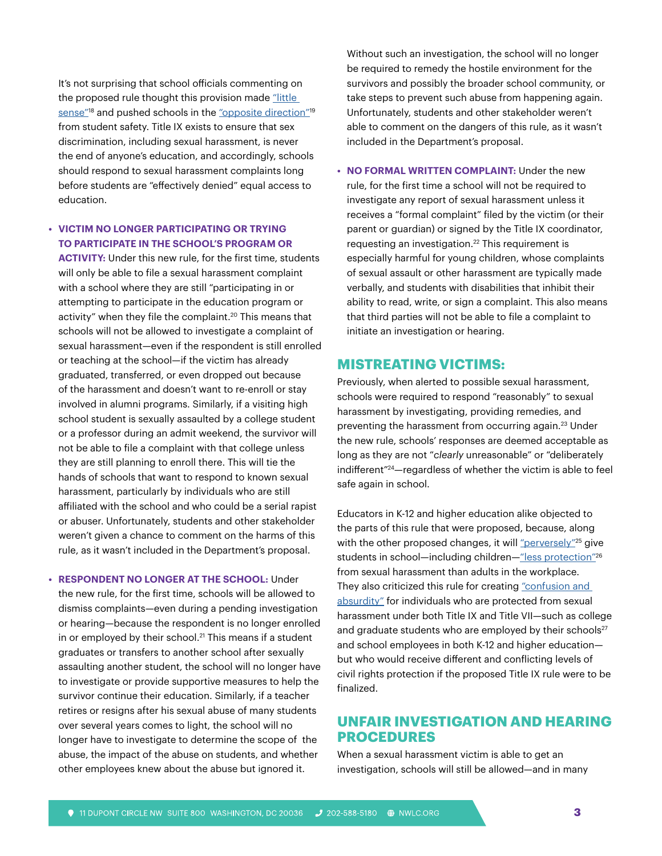It's not surprising that school officials commenting on the proposed rule thought this provision made "little sense"<sup>18</sup> and pushed schools in the "opposite direction"<sup>19</sup> from student safety. Title IX exists to ensure that sex discrimination, including sexual harassment, is never the end of anyone's education, and accordingly, schools should respond to sexual harassment complaints long before students are "effectively denied" equal access to education.

# **• VICTIM NO LONGER PARTICIPATING OR TRYING TO PARTICIPATE IN THE SCHOOL'S PROGRAM OR**

**ACTIVITY:** Under this new rule, for the first time, students will only be able to file a sexual harassment complaint with a school where they are still "participating in or attempting to participate in the education program or activity" when they file the complaint.<sup>20</sup> This means that schools will not be allowed to investigate a complaint of sexual harassment—even if the respondent is still enrolled or teaching at the school—if the victim has already graduated, transferred, or even dropped out because of the harassment and doesn't want to re-enroll or stay involved in alumni programs. Similarly, if a visiting high school student is sexually assaulted by a college student or a professor during an admit weekend, the survivor will not be able to file a complaint with that college unless they are still planning to enroll there. This will tie the hands of schools that want to respond to known sexual harassment, particularly by individuals who are still affiliated with the school and who could be a serial rapist or abuser. Unfortunately, students and other stakeholder weren't given a chance to comment on the harms of this rule, as it wasn't included in the Department's proposal.

**• RESPONDENT NO LONGER AT THE SCHOOL:** Under the new rule, for the first time, schools will be allowed to dismiss complaints—even during a pending investigation or hearing—because the respondent is no longer enrolled in or employed by their school.<sup>21</sup> This means if a student graduates or transfers to another school after sexually assaulting another student, the school will no longer have to investigate or provide supportive measures to help the survivor continue their education. Similarly, if a teacher retires or resigns after his sexual abuse of many students over several years comes to light, the school will no longer have to investigate to determine the scope of the abuse, the impact of the abuse on students, and whether other employees knew about the abuse but ignored it.

Without such an investigation, the school will no longer be required to remedy the hostile environment for the survivors and possibly the broader school community, or take steps to prevent such abuse from happening again. Unfortunately, students and other stakeholder weren't able to comment on the dangers of this rule, as it wasn't included in the Department's proposal.

**• NO FORMAL WRITTEN COMPLAINT:** Under the new rule, for the first time a school will not be required to investigate any report of sexual harassment unless it receives a "formal complaint" filed by the victim (or their parent or guardian) or signed by the Title IX coordinator, requesting an investigation.22 This requirement is especially harmful for young children, whose complaints of sexual assault or other harassment are typically made verbally, and students with disabilities that inhibit their ability to read, write, or sign a complaint. This also means that third parties will not be able to file a complaint to initiate an investigation or hearing.

# **MISTREATING VICTIMS:**

Previously, when alerted to possible sexual harassment, schools were required to respond "reasonably" to sexual harassment by investigating, providing remedies, and preventing the harassment from occurring again.23 Under the new rule, schools' responses are deemed acceptable as long as they are not "*clearly* unreasonable" or "deliberately indifferent"24—regardless of whether the victim is able to feel safe again in school.

Educators in K-12 and higher education alike objected to the parts of this rule that were proposed, because, along with the other proposed changes, it will ["perversely"](https://aasa.org/uploadedFiles/AASA_Blog(1)/AASA Title IX Comments Final.pdf)<sup>25</sup> give students in school-including children-"less protection"<sup>26</sup> from sexual harassment than adults in the workplace. They also criticized this rule for creating "confusion and [absurdity"](http://www.nea.org/assets/docs/NEA Comment Letter RE ED-2018-OCR-0064.pdf) for individuals who are protected from sexual harassment under both Title IX and Title VII—such as college and graduate students who are employed by their schools<sup>27</sup> and school employees in both K-12 and higher education but who would receive different and conflicting levels of civil rights protection if the proposed Title IX rule were to be finalized.

# **UNFAIR INVESTIGATION AND HEARING PROCEDURES**

When a sexual harassment victim is able to get an investigation, schools will still be allowed—and in many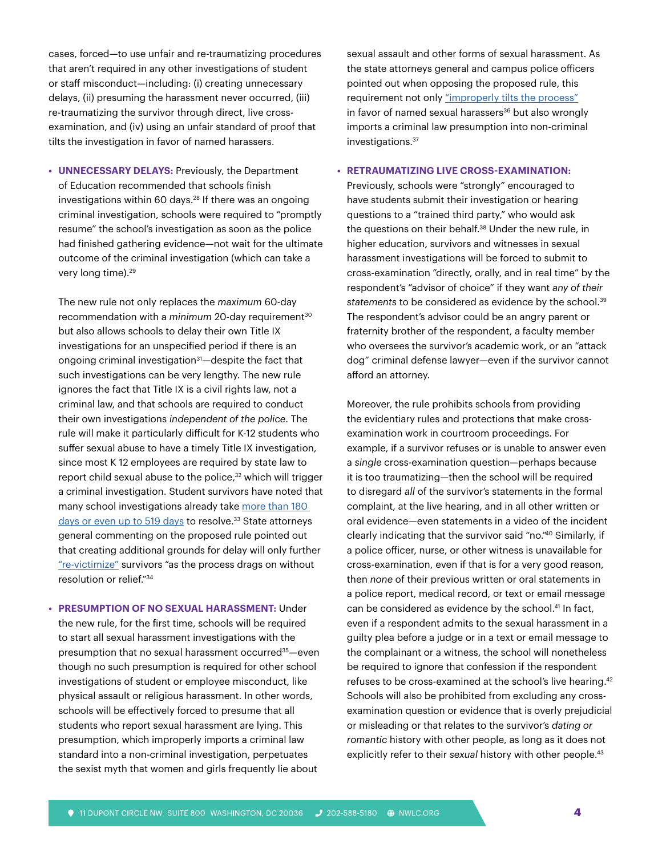cases, forced—to use unfair and re-traumatizing procedures that aren't required in any other investigations of student or staff misconduct—including: (i) creating unnecessary delays, (ii) presuming the harassment never occurred, (iii) re-traumatizing the survivor through direct, live crossexamination, and (iv) using an unfair standard of proof that tilts the investigation in favor of named harassers.

**• UNNECESSARY DELAYS:** Previously, the Department of Education recommended that schools finish investigations within 60 days.<sup>28</sup> If there was an ongoing criminal investigation, schools were required to "promptly resume" the school's investigation as soon as the police had finished gathering evidence—not wait for the ultimate outcome of the criminal investigation (which can take a very long time).<sup>29</sup>

The new rule not only replaces the *maximum* 60-day recommendation with a *minimum* 20-day requirement<sup>30</sup> but also allows schools to delay their own Title IX investigations for an unspecified period if there is an ongoing criminal investigation<sup>31</sup>—despite the fact that such investigations can be very lengthy. The new rule ignores the fact that Title IX is a civil rights law, not a criminal law, and that schools are required to conduct their own investigations *independent of the police*. The rule will make it particularly difficult for K-12 students who suffer sexual abuse to have a timely Title IX investigation, since most K 12 employees are required by state law to report child sexual abuse to the police,<sup>32</sup> which will trigger a criminal investigation. Student survivors have noted that many school investigations already take [more than 180](https://actionnetwork.org/user_files/user_files/000/029/219/original/Know_Your_IX_Comment_on_Proposed_Title_IX_Rule_(1).pdf)  [days or even up to 519 days](https://actionnetwork.org/user_files/user_files/000/029/219/original/Know_Your_IX_Comment_on_Proposed_Title_IX_Rule_(1).pdf) to resolve.<sup>33</sup> State attorneys general commenting on the proposed rule pointed out that creating additional grounds for delay will only further ["re-victimize"](https://www.nj.gov/oag/newsreleases19/Title-IX_Comments.pdf) survivors "as the process drags on without resolution or relief."34

**• PRESUMPTION OF NO SEXUAL HARASSMENT:** Under the new rule, for the first time, schools will be required to start all sexual harassment investigations with the presumption that no sexual harassment occurred<sup>35</sup>-even though no such presumption is required for other school investigations of student or employee misconduct, like physical assault or religious harassment. In other words, schools will be effectively forced to presume that all students who report sexual harassment are lying. This presumption, which improperly imports a criminal law standard into a non-criminal investigation, perpetuates the sexist myth that women and girls frequently lie about

sexual assault and other forms of sexual harassment. As the state attorneys general and campus police officers pointed out when opposing the proposed rule, this requirement not only ["improperly tilts the process"](https://www.nj.gov/oag/newsreleases19/Title-IX_Comments.pdf) in favor of named sexual harassers<sup>36</sup> but also wrongly imports a criminal law presumption into non-criminal investigations.37

### **• RETRAUMATIZING LIVE CROSS-EXAMINATION:**

Previously, schools were "strongly" encouraged to have students submit their investigation or hearing questions to a "trained third party," who would ask the questions on their behalf.38 Under the new rule, in higher education, survivors and witnesses in sexual harassment investigations will be forced to submit to cross-examination "directly, orally, and in real time" by the respondent's "advisor of choice" if they want *any of their*  statements to be considered as evidence by the school.<sup>39</sup> The respondent's advisor could be an angry parent or fraternity brother of the respondent, a faculty member who oversees the survivor's academic work, or an "attack dog" criminal defense lawyer—even if the survivor cannot afford an attorney.

Moreover, the rule prohibits schools from providing the evidentiary rules and protections that make crossexamination work in courtroom proceedings. For example, if a survivor refuses or is unable to answer even a *single* cross-examination question—perhaps because it is too traumatizing—then the school will be required to disregard *all* of the survivor's statements in the formal complaint, at the live hearing, and in all other written or oral evidence—even statements in a video of the incident clearly indicating that the survivor said "no."40 Similarly, if a police officer, nurse, or other witness is unavailable for cross-examination, even if that is for a very good reason, then *none* of their previous written or oral statements in a police report, medical record, or text or email message can be considered as evidence by the school.<sup>41</sup> In fact, even if a respondent admits to the sexual harassment in a guilty plea before a judge or in a text or email message to the complainant or a witness, the school will nonetheless be required to ignore that confession if the respondent refuses to be cross-examined at the school's live hearing.<sup>42</sup> Schools will also be prohibited from excluding any crossexamination question or evidence that is overly prejudicial or misleading or that relates to the survivor's *dating or romantic* history with other people, as long as it does not explicitly refer to their sexual history with other people.<sup>43</sup>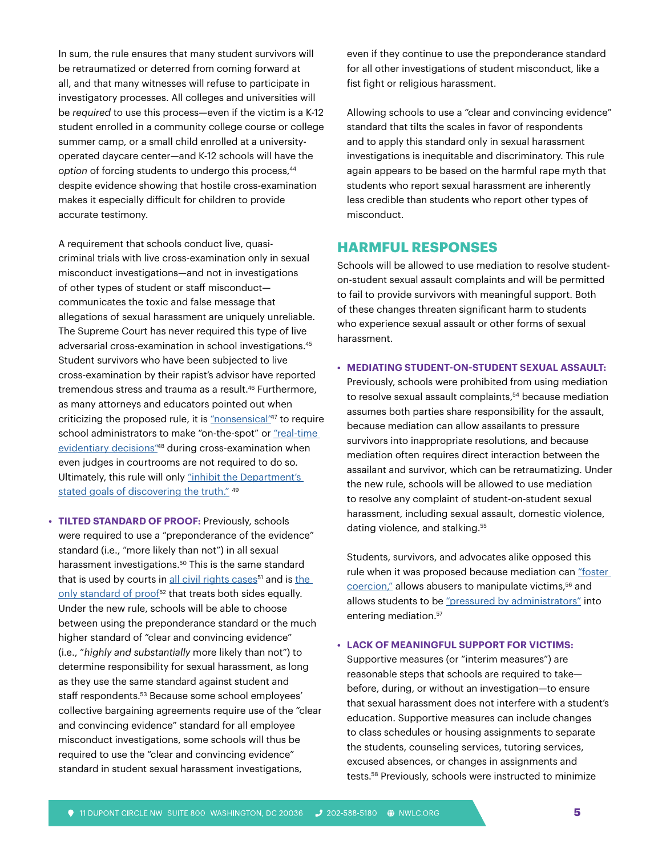In sum, the rule ensures that many student survivors will be retraumatized or deterred from coming forward at all, and that many witnesses will refuse to participate in investigatory processes. All colleges and universities will be *required* to use this process—even if the victim is a K-12 student enrolled in a community college course or college summer camp, or a small child enrolled at a universityoperated daycare center—and K-12 schools will have the option of forcing students to undergo this process,<sup>44</sup> despite evidence showing that hostile cross-examination makes it especially difficult for children to provide accurate testimony.

A requirement that schools conduct live, quasicriminal trials with live cross-examination only in sexual misconduct investigations—and not in investigations of other types of student or staff misconduct communicates the toxic and false message that allegations of sexual harassment are uniquely unreliable. The Supreme Court has never required this type of live adversarial cross-examination in school investigations.45 Student survivors who have been subjected to live cross-examination by their rapist's advisor have reported tremendous stress and trauma as a result.<sup>46</sup> Furthermore, as many attorneys and educators pointed out when criticizing the proposed rule, it is ["nonsensical"4](https://www.acenet.edu/Documents/Comments-to-Education-Department-on-Proposed-Rule-Amending-Title-IX-Regulations.pdf)7 to require school administrators to make "on-the-spot" or "real-time evidentiary decisions<sup>"48</sup> during cross-examination when even judges in courtrooms are not required to do so. Ultimately, this rule will only "inhibit the Department's [stated goals of discovering the truth."](https://www.nj.gov/oag/newsreleases19/Title-IX_Comments.pdf) 49

**• TILTED STANDARD OF PROOF:** Previously, schools were required to use a "preponderance of the evidence" standard (i.e., "more likely than not") in all sexual harassment investigations.<sup>50</sup> This is the same standard that is used by courts in [all civil rights cases](http://civilrightsdocs.info/pdf/policy/letters/2019/Joint-Comment-Title-IX-NPRM-01302019-Final.pdf)<sup>51</sup> and is the only standard of proof<sup>52</sup> that treats both sides equally. Under the new rule, schools will be able to choose between using the preponderance standard or the much higher standard of "clear and convincing evidence" (i.e., "*highly and substantially* more likely than not") to determine responsibility for sexual harassment, as long as they use the same standard against student and staff respondents.<sup>53</sup> Because some school employees' collective bargaining agreements require use of the "clear and convincing evidence" standard for all employee misconduct investigations, some schools will thus be required to use the "clear and convincing evidence" standard in student sexual harassment investigations,

even if they continue to use the preponderance standard for all other investigations of student misconduct, like a fist fight or religious harassment.

Allowing schools to use a "clear and convincing evidence" standard that tilts the scales in favor of respondents and to apply this standard only in sexual harassment investigations is inequitable and discriminatory. This rule again appears to be based on the harmful rape myth that students who report sexual harassment are inherently less credible than students who report other types of misconduct.

# **HARMFUL RESPONSES**

Schools will be allowed to use mediation to resolve studenton-student sexual assault complaints and will be permitted to fail to provide survivors with meaningful support. Both of these changes threaten significant harm to students who experience sexual assault or other forms of sexual harassment.

## **• MEDIATING STUDENT-ON-STUDENT SEXUAL ASSAULT:**

Previously, schools were prohibited from using mediation to resolve sexual assault complaints,<sup>54</sup> because mediation assumes both parties share responsibility for the assault, because mediation can allow assailants to pressure survivors into inappropriate resolutions, and because mediation often requires direct interaction between the assailant and survivor, which can be retraumatizing. Under the new rule, schools will be allowed to use mediation to resolve any complaint of student-on-student sexual harassment, including sexual assault, domestic violence, dating violence, and stalking.<sup>55</sup>

Students, survivors, and advocates alike opposed this rule when it was proposed because mediation can "foster [coercion,"](https://actionnetwork.org/user_files/user_files/000/029/219/original/Know_Your_IX_Comment_on_Proposed_Title_IX_Rule_(1).pdf) allows abusers to manipulate victims,<sup>56</sup> and allows students to be ["pressured by administrators"](https://assu.stanford.edu/sites/g/files/sbiybj6236/f/student_body_presidents_comment_on_title_ix_proposal_1.pdf) into entering mediation.<sup>57</sup>

## **• LACK OF MEANINGFUL SUPPORT FOR VICTIMS:**

Supportive measures (or "interim measures") are reasonable steps that schools are required to take before, during, or without an investigation—to ensure that sexual harassment does not interfere with a student's education. Supportive measures can include changes to class schedules or housing assignments to separate the students, counseling services, tutoring services, excused absences, or changes in assignments and tests.58 Previously, schools were instructed to minimize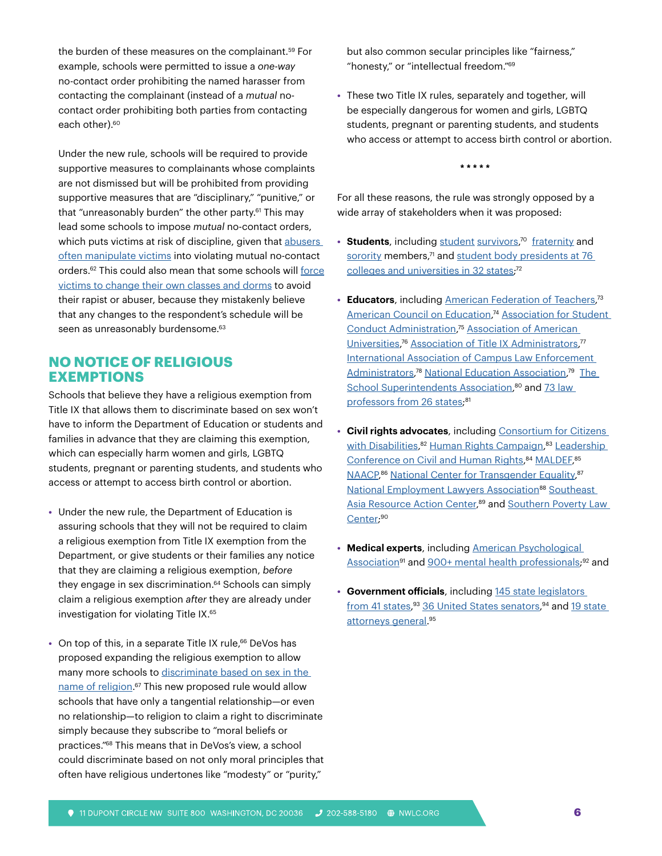the burden of these measures on the complainant.<sup>59</sup> For example, schools were permitted to issue a *one-way* no-contact order prohibiting the named harasser from contacting the complainant (instead of a *mutual* nocontact order prohibiting both parties from contacting each other).<sup>60</sup>

Under the new rule, schools will be required to provide supportive measures to complainants whose complaints are not dismissed but will be prohibited from providing supportive measures that are "disciplinary," "punitive," or that "unreasonably burden" the other party.<sup>61</sup> This may lead some schools to impose *mutual* no-contact orders, which puts victims at risk of discipline, given that abusers [often manipulate victims](https://nwlc-ciw49tixgw5lbab.stackpathdns.com/wp-content/uploads/2019/02/NWLC-Title-IX-NPRM-Comment.pdf) into violating mutual no-contact orders.62 This could also mean that some schools will [force](https://www.help.senate.gov/imo/media/doc/013019 Proposed Title IX reg caucus letter.pdf) [victims to change their own classes and dorms](https://www.help.senate.gov/imo/media/doc/013019 Proposed Title IX reg caucus letter.pdf) to avoid their rapist or abuser, because they mistakenly believe that any changes to the respondent's schedule will be seen as unreasonably burdensome.<sup>63</sup>

# **NO NOTICE OF RELIGIOUS EXEMPTIONS**

Schools that believe they have a religious exemption from Title IX that allows them to discriminate based on sex won't have to inform the Department of Education or students and families in advance that they are claiming this exemption, which can especially harm women and girls, LGBTQ students, pregnant or parenting students, and students who access or attempt to access birth control or abortion.

- **•** Under the new rule, the Department of Education is assuring schools that they will not be required to claim a religious exemption from Title IX exemption from the Department, or give students or their families any notice that they are claiming a religious exemption, *before* they engage in sex discrimination.<sup>64</sup> Schools can simply claim a religious exemption *after* they are already under investigation for violating Title IX.<sup>65</sup>
- On top of this, in a separate Title IX rule,<sup>66</sup> DeVos has proposed expanding the religious exemption to allow many more schools to discriminate based on sex in the [name of religion.](https://nwlc.org/resources/nwlc-submits-comment-opposing-betsy-devoss-title-ix-proposal-to-enable-sex-discrimination-in-the-name-of-religion/)<sup>67</sup> This new proposed rule would allow schools that have only a tangential relationship—or even no relationship—to religion to claim a right to discriminate simply because they subscribe to "moral beliefs or practices."68 This means that in DeVos's view, a school could discriminate based on not only moral principles that often have religious undertones like "modesty" or "purity,"

but also common secular principles like "fairness," "honesty," or "intellectual freedom."69

**•** These two Title IX rules, separately and together, will be especially dangerous for women and girls, LGBTQ students, pregnant or parenting students, and students who access or attempt to access birth control or abortion.

**\* \* \* \* \***

For all these reasons, the rule was strongly opposed by a wide array of stakeholders when it was proposed:

- **Students**, including [student](https://actionnetwork.org/user_files/user_files/000/029/219/original/Know_Your_IX_Comment_on_Proposed_Title_IX_Rule_(1).pdf) [survivors](https://static1.squarespace.com/static/51f82234e4b097de73d1a373/t/5c526bce21c67c217bba88a5/1548905423597/End+Rape+on+Campus+Comment.pdf),<sup>70</sup> [fraternity](https://www.regulations.gov/document?D=ED-2018-OCR-0064-11081) and [sorority](https://www.regulations.gov/document?D=ED-2018-OCR-0064-11790) members,<sup>71</sup> and student body presidents at 76 [colleges and universities in 32 states](https://assu.stanford.edu/sites/g/files/sbiybj6236/f/student_body_presidents_comment_on_title_ix_proposal_1.pdf);<sup>72</sup>
- **Educators**, including [American Federation of Teachers,](https://www.regulations.gov/document?D=ED-2018-OCR-0064-9123)<sup>73</sup> [American Council on Education](https://www.acenet.edu/Documents/Comments-to-Education-Department-on-Proposed-Rule-Amending-Title-IX-Regulations.pdf), <sup>74</sup> [Association for Student](https://www.regulations.gov/document?D=ED-2018-OCR-0064-11689)  [Conduct Administration,](https://www.regulations.gov/document?D=ED-2018-OCR-0064-11689) <sup>75</sup> [Association of American](https://www.aau.edu/sites/default/files/AAU-Files/Key-Issues/Higher-Education-Regulation/AAU-Title-IX-Comments-1-24-19.pdf)  [Universities,](https://www.aau.edu/sites/default/files/AAU-Files/Key-Issues/Higher-Education-Regulation/AAU-Title-IX-Comments-1-24-19.pdf)<sup>76</sup> [Association of Title IX Administrators,](https://cdn.atixa.org/website-media/o_atixa/wp-content/uploads/2012/01/18120231/ATIXA-NPRM-Comments-FInal.pdf)<sup>77</sup> [International Association of Campus Law Enforcement](https://www.regulations.gov/document?D=ED-2018-OCR-0064-10515)  [Administrators,](https://www.regulations.gov/document?D=ED-2018-OCR-0064-10515)<sup>78</sup> [National Education Association,](http://www.nea.org/assets/docs/NEA Comment Letter RE ED-2018-OCR-0064.pdf)<sup>79</sup> The [School Superintendents Association,](https://aasa.org/uploadedFiles/AASA_Blog(1)/AASA Title IX Comments Final.pdf)<sup>80</sup> and 73 law [professors from 26 states;](https://www.regulations.gov/document?D=ED-2018-OCR-0064-11900)<sup>81</sup>
- **• Civil rights advocates**, including [Consortium for Citizens](https://nacdd.org/wp-content/uploads/2019/01/Final-CCD-Title-IX-comments-1.30.19.pdf)  [with Disabilities,](https://nacdd.org/wp-content/uploads/2019/01/Final-CCD-Title-IX-comments-1.30.19.pdf) <sup>82</sup> [Human Rights Campaign,](https://www.regulations.gov/document?D=ED-2018-OCR-0064-11375) <sup>83</sup> [Leadership](http://civilrightsdocs.info/pdf/policy/letters/2019/Joint-Comment-Title-IX-NPRM-01302019-Final.pdf)  [Conference on Civil and Human Rights](http://civilrightsdocs.info/pdf/policy/letters/2019/Joint-Comment-Title-IX-NPRM-01302019-Final.pdf),<sup>84</sup> [MALDEF](https://www.maldef.org/wp-content/uploads/2019/01/MALDEF-Title-IX-Comment.pdf),<sup>85</sup> [NAACP](http://civilrightsdocs.info/pdf/policy/letters/2019/Joint-Comment-Title-IX-NPRM-01302019-Final.pdf),<sup>86</sup> [National Center for Transgender Equality,](https://www.regulations.gov/document?D=ED-2018-OCR-0064-11557)<sup>87</sup> [National Employment Lawyers Association](https://www.nela.org/index.cfm?pg=83FedReg61483)<sup>88</sup> Southeast [Asia Resource Action Center,](http://civilrightsdocs.info/pdf/policy/letters/2019/Joint-Comment-Title-IX-NPRM-01302019-Final.pdf)<sup>89</sup> and Southern Poverty Law [Center;](http://civilrightsdocs.info/pdf/policy/letters/2019/Joint-Comment-Title-IX-NPRM-01302019-Final.pdf) 90
- **• Medical experts**, including [American Psychological](https://www.apa.org/advocacy/interpersonal-violence/titleix-comments.pdf)  Association<sup>91</sup> and [900+ mental health professionals](https://www.regulations.gov/document?D=ED-2018-OCR-0064-104088);<sup>92</sup> and
- **• Government officials**, including [145 state legislators](https://www.regulations.gov/document?D=ED-2018-OCR-0064-8535)  [from 41 states,](https://www.regulations.gov/document?D=ED-2018-OCR-0064-8535) <sup>93</sup> [36 United States senators](https://www.help.senate.gov/imo/media/doc/013019 Proposed Title IX reg caucus letter.pdf), 94 and [19 state](https://www.nj.gov/oag/newsreleases19/Title-IX_Comments.pdf)  [attorneys general.](https://www.nj.gov/oag/newsreleases19/Title-IX_Comments.pdf) 95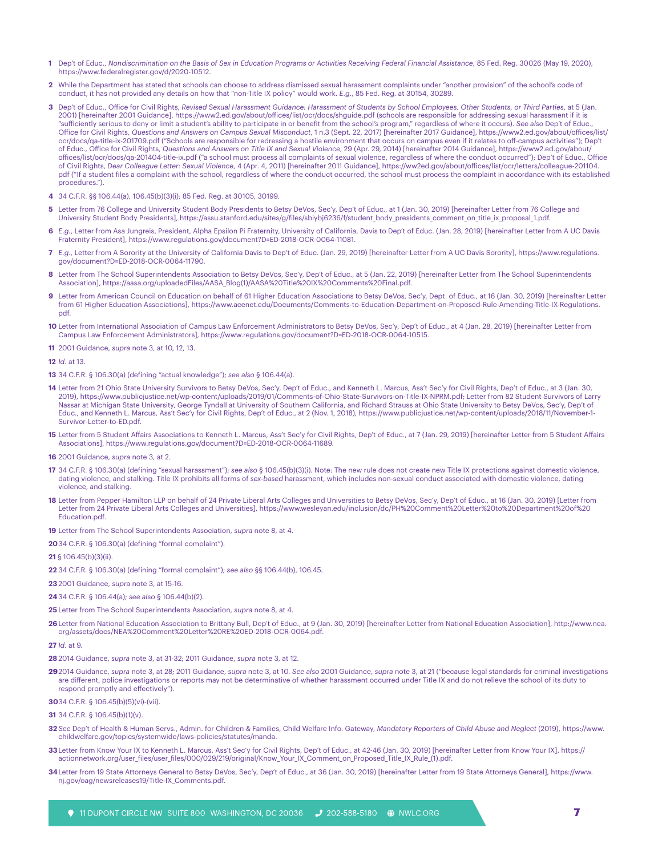- **1** Dep't of Educ., *Nondiscrimination on the Basis of Sex in Education Programs or Activities Receiving Federal Financial Assistance,* 85 Fed. Reg. 30026 (May 19, 2020), https://www.federalregister.gov/d/2020-10512.
- **2** While the Department has stated that schools can choose to address dismissed sexual harassment complaints under "another provision" of the school's code of conduct, it has not provided any details on how that "non-Title IX policy" would work. *E.g*., 85 Fed. Reg. at 30154, 30289.
- **3** Dep't of Educ., Office for Civil Rights, *Revised Sexual Harassment Guidance: Harassment of Students by School Employees, Other Students, or Third Parties*, at 5 (Jan. 2001) [hereinafter 2001 Guidance], https://www2.ed.gov/about/offices/list/ocr/docs/shguide.pdf (schools are responsible for addressing sexual harassment if it is "sufficiently serious to deny or limit a student's ability to participate in or benefit from the school's program," regardless of where it occurs). *See also* Dep't of Educ., Office for Civil Rights, *Questions and Answers on Campus Sexual Misconduct*, 1 n.3 (Sept. 22, 2017) [hereinafter 2017 Guidance], https://www2.ed.gov/about/offices/list/ ocr/docs/qa-title-ix-201709.pdf ("Schools are responsible for redressing a hostile environment that occurs on campus even if it relates to off-campus activities"); Dep't of Educ., Office for Civil Rights, *Questions and Answers on Title IX and Sexual Violence*, 29 (Apr. 29, 2014) [hereinafter 2014 Guidance], https://www2.ed.gov/about/ offices/list/ocr/docs/qa-201404-title-ix.pdf ("a school must process all complaints of sexual violence, regardless of where the conduct occurred"); Dep't of Educ., Office of Civil Rights, *Dear Colleague Letter: Sexual Violence*, 4 (Apr. 4, 2011) [hereinafter 2011 Guidance], https://ww2ed.gov/about/offices/list/ocr/letters/colleague-201104. pdf ("If a student files a complaint with the school, regardless of where the conduct occurred, the school must process the complaint in accordance with its established procedures.").
- **4** 34 C.F.R. §§ 106.44(a), 106.45(b)(3)(i); 85 Fed. Reg. at 30105, 30199.
- **5** Letter from 76 College and University Student Body Presidents to Betsy DeVos, Sec'y, Dep't of Educ., at 1 (Jan. 30, 2019) [hereinafter Letter from 76 College and University Student Body Presidents], https://assu.stanford.edu/sites/g/files/sbiybj6236/f/student\_body\_presidents\_comment\_on\_title\_ix\_proposal\_1.pdf.
- **6** *E.g.*, Letter from Asa Jungreis, President, Alpha Epsilon Pi Fraternity, University of California, Davis to Dep't of Educ. (Jan. 28, 2019) [hereinafter Letter from A UC Davis Fraternity President], https://www.regulations.gov/document?D=ED-2018-OCR-0064-11081.
- **7** *E.g.*, Letter from A Sorority at the University of California Davis to Dep't of Educ. (Jan. 29, 2019) [hereinafter Letter from A UC Davis Sorority], https://www.regulations. gov/document?D=ED-2018-OCR-0064-11790.
- **8** Letter from The School Superintendents Association to Betsy DeVos, Sec'y, Dep't of Educ., at 5 (Jan. 22, 2019) [hereinafter Letter from The School Superintendents Association], https://aasa.org/uploadedFiles/AASA\_Blog(1)/AASA%20Title%20IX%20Comments%20Final.pdf.
- Letter from American Council on Education on behalf of 61 Higher Education Associations to Betsy DeVos, Sec'y, Dept. of Educ., at 16 (Jan. 30, 2019) [hereinafter Letter from 61 Higher Education Associations], https://www.acenet.edu/Documents/Comments-to-Education-Department-on-Proposed-Rule-Amending-Title-IX-Regulations. pdf.
- **10** Letter from International Association of Campus Law Enforcement Administrators to Betsy DeVos, Sec'y, Dep't of Educ., at 4 (Jan. 28, 2019) [hereinafter Letter from Campus Law Enforcement Administrators], https://www.regulations.gov/document?D=ED-2018-OCR-0064-10515.
- **11** 2001 Guidance, *supra* note 3, at 10, 12, 13.
- **12** *Id*. at 13.
- **13** 34 C.F.R. § 106.30(a) (defining "actual knowledge"); *see also* § 106.44(a).
- **14** Letter from 21 Ohio State University Survivors to Betsy DeVos, Sec'y, Dep't of Educ., and Kenneth L. Marcus, Ass't Sec'y for Civil Rights, Dep't of Educ., at 3 (Jan. 30, 2019), https://www.publicjustice.net/wp-content/uploads/2019/01/Comments-of-Ohio-State-Survivors-on-Title-IX-NPRM.pdf; Letter from 82 Student Survivors of Larry Nassar at Michigan State University, George Tyndall at University of Southern California, and Richard Strauss at Ohio State University to Betsy DeVos, Sec'y, Dep't of Educ., and Kenneth L. Marcus, Ass't Sec'y for Civil Rights, Dep't of Educ., at 2 (Nov. 1, 2018), https://www.publicjustice.net/wp-content/uploads/2018/11/November-1- Survivor-Letter-to-ED.pdf.
- **15** Letter from 5 Student Affairs Associations to Kenneth L. Marcus, Ass't Sec'y for Civil Rights, Dep't of Educ., at 7 (Jan. 29, 2019) [hereinafter Letter from 5 Student Affairs Associations], https://www.regulations.gov/document?D=ED-2018-OCR-0064-11689.
- **16** 2001 Guidance, *supra* note 3, at 2.
- **17** 34 C.F.R. § 106.30(a) (defining "sexual harassment"); *see also* § 106.45(b)(3)(i). Note: The new rule does not create new Title IX protections against domestic violence, dating violence, and stalking. Title IX prohibits all forms of *sex-based* harassment, which includes non-sexual conduct associated with domestic violence, dating violence, and stalking.
- **18** Letter from Pepper Hamilton LLP on behalf of 24 Private Liberal Arts Colleges and Universities to Betsy DeVos, Sec'y, Dep't of Educ., at 16 (Jan. 30, 2019) [Letter from Letter from 24 Private Liberal Arts Colleges and Universities], https://www.wesleyan.edu/inclusion/dc/PH%20Comment%20Letter%20to%20Department%20of%20 Education.pdf.
- **19** Letter from The School Superintendents Association, *supra* note 8, at 4.
- **20**34 C.F.R. § 106.30(a) (defining "formal complaint").
- **21** § 106.45(b)(3)(ii).
- **22** 34 C.F.R. § 106.30(a) (defining "formal complaint"); *see also* §§ 106.44(b), 106.45.
- **23**2001 Guidance, *supra* note 3, at 15-16.
- **24**34 C.F.R. § 106.44(a); *see also* § 106.44(b)(2).
- **25** Letter from The School Superintendents Association, *supra* note 8, at 4.
- **26**Letter from National Education Association to Brittany Bull, Dep't of Educ., at 9 (Jan. 30, 2019) [hereinafter Letter from National Education Association], http://www.nea. org/assets/docs/NEA%20Comment%20Letter%20RE%20ED-2018-OCR-0064.pdf.

**27** *Id*. at 9.

- **28**2014 Guidance, *supra* note 3, at 31-32; 2011 Guidance, *supra* note 3, at 12.
- **29**2014 Guidance, *supra* note 3, at 28; 2011 Guidance, *supra* note 3, at 10. *See also* 2001 Guidance, *supra* note 3, at 21 ("because legal standards for criminal investigations are different, police investigations or reports may not be determinative of whether harassment occurred under Title IX and do not relieve the school of its duty to respond promptly and effectively").

**30**34 C.F.R. § 106.45(b)(5)(vi)-(vii).

**31** 34 C.F.R. § 106.45(b)(1)(v).

- **32** *See* Dep't of Health & Human Servs., Admin. for Children & Families, Child Welfare Info. Gateway, *Mandatory Reporters of Child Abuse and Neglect* (2019), https://www. childwelfare.gov/topics/systemwide/laws-policies/statutes/manda.
- **33**Letter from Know Your IX to Kenneth L. Marcus, Ass't Sec'y for Civil Rights, Dep't of Educ., at 42-46 (Jan. 30, 2019) [hereinafter Letter from Know Your IX], https:// actionnetwork.org/user\_files/user\_files/000/029/219/original/Know\_Your\_IX\_Comment\_on\_Proposed\_Title\_IX\_Rule\_(1).pdf.
- **34**Letter from 19 State Attorneys General to Betsy DeVos, Sec'y, Dep't of Educ., at 36 (Jan. 30, 2019) [hereinafter Letter from 19 State Attorneys General], https://www. nj.gov/oag/newsreleases19/Title-IX\_Comments.pdf.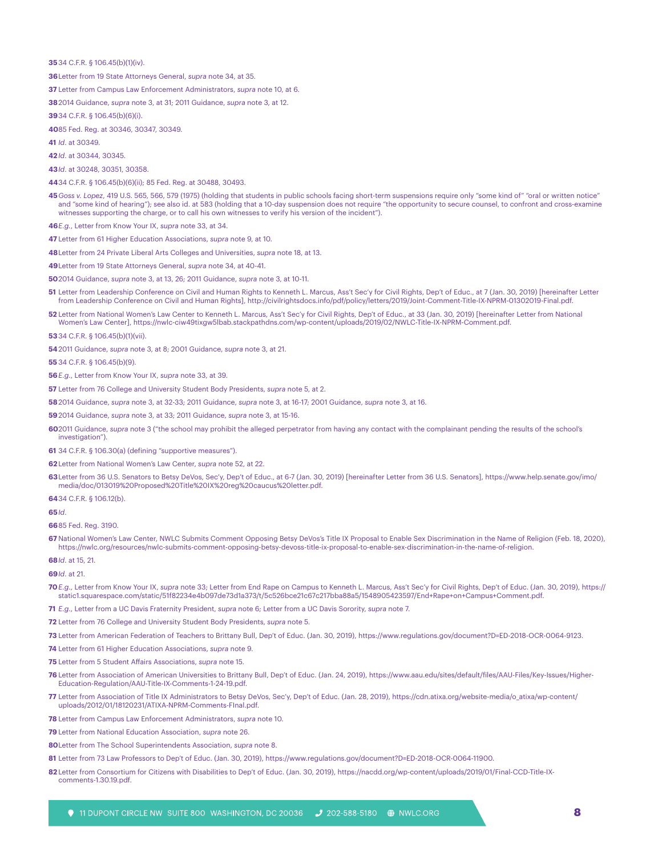#### 34 C.F.R. § 106.45(b)(1)(iv).

Letter from 19 State Attorneys General, *supra* note 34, at 35.

Letter from Campus Law Enforcement Administrators, *supra* note 10, at 6.

2014 Guidance, *supra* note 3, at 31; 2011 Guidance, *supra* note 3, at 12.

34 C.F.R. § 106.45(b)(6)(i).

85 Fed. Reg. at 30346, 30347, 30349.

*Id*. at 30349.

*Id*. at 30344, 30345.

*Id*. at 30248, 30351, 30358.

- 34 C.F.R. § 106.45(b)(6)(ii); 85 Fed. Reg. at 30488, 30493.
- *Goss v. Lopez*, 419 U.S. 565, 566, 579 (1975) (holding that students in public schools facing short-term suspensions require only "some kind of" "oral or written notice" and "some kind of hearing"); see also id. at 583 (holding that a 10-day suspension does not require "the opportunity to secure counsel, to confront and cross-examine witnesses supporting the charge, or to call his own witnesses to verify his version of the incident").

*E.g.*, Letter from Know Your IX, *supra* note 33, at 34.

Letter from 61 Higher Education Associations, *supra* note 9, at 10.

Letter from 24 Private Liberal Arts Colleges and Universities, *supra* note 18, at 13.

Letter from 19 State Attorneys General, *supra* note 34, at 40-41.

2014 Guidance, *supra* note 3, at 13, 26; 2011 Guidance, *supra* note 3, at 10-11.

 Letter from Leadership Conference on Civil and Human Rights to Kenneth L. Marcus, Ass't Sec'y for Civil Rights, Dep't of Educ., at 7 (Jan. 30, 2019) [hereinafter Letter from Leadership Conference on Civil and Human Rights], http://civilrightsdocs.info/pdf/policy/letters/2019/Joint-Comment-Title-IX-NPRM-01302019-Final.pdf.

 Letter from National Women's Law Center to Kenneth L. Marcus, Ass't Sec'y for Civil Rights, Dep't of Educ., at 33 (Jan. 30, 2019) [hereinafter Letter from National Women's Law Center], https://nwlc-ciw49tixgw5lbab.stackpathdns.com/wp-content/uploads/2019/02/NWLC-Title-IX-NPRM-Comment.pdf.

34 C.F.R. § 106.45(b)(1)(vii).

2011 Guidance, *supra* note 3, at 8; 2001 Guidance, *supra* note 3, at 21.

34 C.F.R. § 106.45(b)(9).

*E.g*., Letter from Know Your IX, *supra* note 33, at 39.

Letter from 76 College and University Student Body Presidents, *supra* note 5, at 2.

2014 Guidance, *supra* note 3, at 32-33; 2011 Guidance, *supra* note 3, at 16-17; 2001 Guidance, *supra* note 3, at 16.

2014 Guidance, *supra* note 3, at 33; 2011 Guidance, *supra* note 3, at 15-16.

2011 Guidance, *supra* note 3 ("the school may prohibit the alleged perpetrator from having any contact with the complainant pending the results of the school's investigation").

34 C.F.R. § 106.30(a) (defining "supportive measures").

Letter from National Women's Law Center, *supra* note 52, at 22.

Letter from 36 U.S. Senators to Betsy DeVos, Sec'y, Dep't of Educ., at 6-7 (Jan. 30, 2019) [hereinafter Letter from 36 U.S. Senators], https://www.help.senate.gov/imo/ media/doc/013019%20Proposed%20Title%20IX%20reg%20caucus%20letter.pdf.

34 C.F.R. § 106.12(b).

#### *Id*.

85 Fed. Reg. 3190.

 National Women's Law Center, NWLC Submits Comment Opposing Betsy DeVos's Title IX Proposal to Enable Sex Discrimination in the Name of Religion (Feb. 18, 2020), https://nwlc.org/resources/nwlc-submits-comment-opposing-betsy-devoss-title-ix-proposal-to-enable-sex-discrimination-in-the-name-of-religion.

#### *Id*. at 15, 21.

*Id*. at 21.

*E.g*., Letter from Know Your IX, *supra* note 33; Letter from End Rape on Campus to Kenneth L. Marcus, Ass't Sec'y for Civil Rights, Dep't of Educ. (Jan. 30, 2019), https:// static1.squarespace.com/static/51f82234e4b097de73d1a373/t/5c526bce21c67c217bba88a5/1548905423597/End+Rape+on+Campus+Comment.pdf.

*E.g*., Letter from a UC Davis Fraternity President, *supra* note 6; Letter from a UC Davis Sorority, *supra* note 7.

Letter from 76 College and University Student Body Presidents, *supra* note 5.

Letter from American Federation of Teachers to Brittany Bull, Dep't of Educ. (Jan. 30, 2019), https://www.regulations.gov/document?D=ED-2018-OCR-0064-9123.

Letter from 61 Higher Education Associations, *supra* note 9.

Letter from 5 Student Affairs Associations, *supra* note 15.

- Letter from Association of American Universities to Brittany Bull, Dep't of Educ. (Jan. 24, 2019), https://www.aau.edu/sites/default/files/AAU-Files/Key-Issues/Higher-Education-Regulation/AAU-Title-IX-Comments-1-24-19.pdf.
- Letter from Association of Title IX Administrators to Betsy DeVos, Sec'y, Dep't of Educ. (Jan. 28, 2019), https://cdn.atixa.org/website-media/o\_atixa/wp-content/ uploads/2012/01/18120231/ATIXA-NPRM-Comments-FInal.pdf.

Letter from Campus Law Enforcement Administrators, *supra* note 10.

Letter from National Education Association, *supra* note 26.

- Letter from The School Superintendents Association, *supra* note 8.
- Letter from 73 Law Professors to Dep't of Educ. (Jan. 30, 2019), https://www.regulations.gov/document?D=ED-2018-OCR-0064-11900.
- Letter from Consortium for Citizens with Disabilities to Dep't of Educ. (Jan. 30, 2019), https://nacdd.org/wp-content/uploads/2019/01/Final-CCD-Title-IXcomments-1.30.19.pdf.